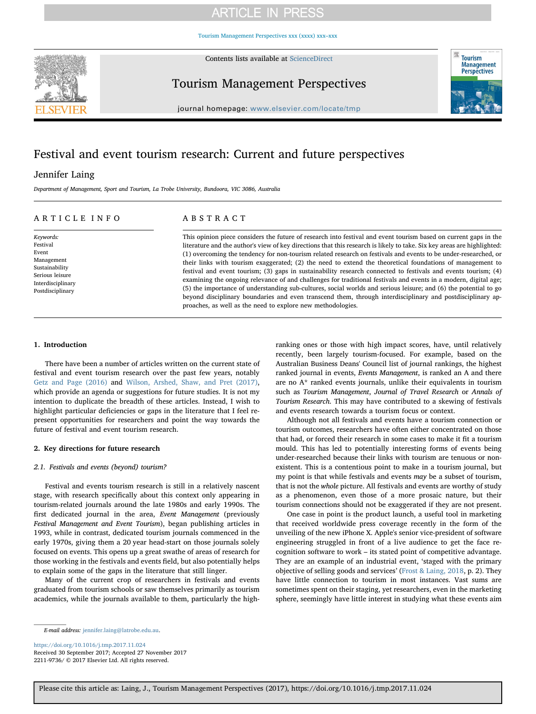# **ARTICLE IN PRESS**

[Tourism Management Perspectives xxx \(xxxx\) xxx–xxx](https://doi.org/10.1016/j.tmp.2017.11.024)



Contents lists available at [ScienceDirect](http://www.sciencedirect.com/science/journal/22119736)

Tourism Management Perspectives



journal homepage: [www.elsevier.com/locate/tmp](https://www.elsevier.com/locate/tmp)

# Festival and event tourism research: Current and future perspectives

## Jennifer Laing

Department of Management, Sport and Tourism, La Trobe University, Bundoora, VIC 3086, Australia

### ARTICLE INFO

Keywords: Festival Event Management Sustainability Serious leisure Interdisciplinary Postdisciplinary

## ABSTRACT

This opinion piece considers the future of research into festival and event tourism based on current gaps in the literature and the author's view of key directions that this research is likely to take. Six key areas are highlighted: (1) overcoming the tendency for non-tourism related research on festivals and events to be under-researched, or their links with tourism exaggerated; (2) the need to extend the theoretical foundations of management to festival and event tourism; (3) gaps in sustainability research connected to festivals and events tourism; (4) examining the ongoing relevance of and challenges for traditional festivals and events in a modern, digital age; (5) the importance of understanding sub-cultures, social worlds and serious leisure; and (6) the potential to go beyond disciplinary boundaries and even transcend them, through interdisciplinary and postdisciplinary approaches, as well as the need to explore new methodologies.

#### 1. Introduction

There have been a number of articles written on the current state of festival and event tourism research over the past few years, notably Getz and Page (2016) and Wilson, Arshed, Shaw, and Pret (2017), which provide an agenda or suggestions for future studies. It is not my intention to duplicate the breadth of these articles. Instead, I wish to highlight particular deficiencies or gaps in the literature that I feel represent opportunities for researchers and point the way towards the future of festival and event tourism research.

#### 2. Key directions for future research

#### 2.1. Festivals and events (beyond) tourism?

Festival and events tourism research is still in a relatively nascent stage, with research specifically about this context only appearing in tourism-related journals around the late 1980s and early 1990s. The first dedicated journal in the area, Event Management (previously Festival Management and Event Tourism), began publishing articles in 1993, while in contrast, dedicated tourism journals commenced in the early 1970s, giving them a 20 year head-start on those journals solely focused on events. This opens up a great swathe of areas of research for those working in the festivals and events field, but also potentially helps to explain some of the gaps in the literature that still linger.

Many of the current crop of researchers in festivals and events graduated from tourism schools or saw themselves primarily as tourism academics, while the journals available to them, particularly the highranking ones or those with high impact scores, have, until relatively recently, been largely tourism-focused. For example, based on the Australian Business Deans' Council list of journal rankings, the highest ranked journal in events, Events Management, is ranked an A and there are no A\* ranked events journals, unlike their equivalents in tourism such as Tourism Management, Journal of Travel Research or Annals of Tourism Research. This may have contributed to a skewing of festivals and events research towards a tourism focus or context.

Although not all festivals and events have a tourism connection or tourism outcomes, researchers have often either concentrated on those that had, or forced their research in some cases to make it fit a tourism mould. This has led to potentially interesting forms of events being under-researched because their links with tourism are tenuous or nonexistent. This is a contentious point to make in a tourism journal, but my point is that while festivals and events may be a subset of tourism, that is not the whole picture. All festivals and events are worthy of study as a phenomenon, even those of a more prosaic nature, but their tourism connections should not be exaggerated if they are not present.

One case in point is the product launch, a useful tool in marketing that received worldwide press coverage recently in the form of the unveiling of the new iPhone X. Apple's senior vice-president of software engineering struggled in front of a live audience to get the face recognition software to work – its stated point of competitive advantage. They are an example of an industrial event, 'staged with the primary objective of selling goods and services' (Frost & Laing, 2018, p. 2). They have little connection to tourism in most instances. Vast sums are sometimes spent on their staging, yet researchers, even in the marketing sphere, seemingly have little interest in studying what these events aim

<https://doi.org/10.1016/j.tmp.2017.11.024> Received 30 September 2017; Accepted 27 November 2017 2211-9736/ © 2017 Elsevier Ltd. All rights reserved.

E-mail address: [jennifer.laing@latrobe.edu.au](mailto:jennifer.laing@latrobe.edu.au).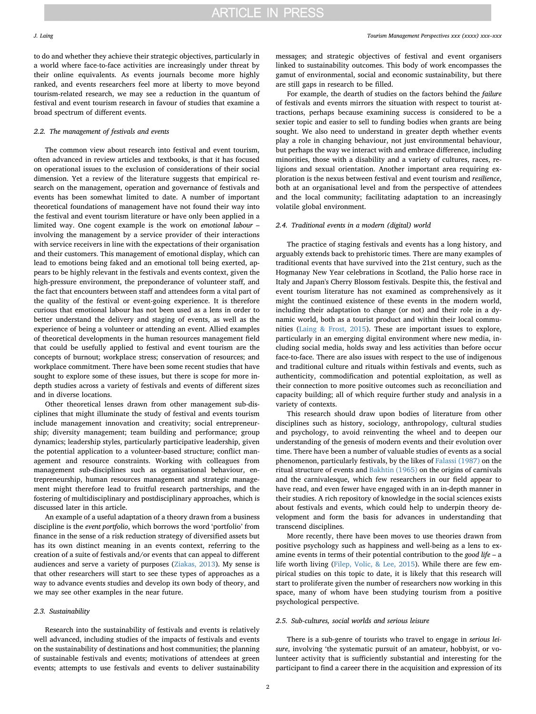to do and whether they achieve their strategic objectives, particularly in a world where face-to-face activities are increasingly under threat by their online equivalents. As events journals become more highly ranked, and events researchers feel more at liberty to move beyond tourism-related research, we may see a reduction in the quantum of festival and event tourism research in favour of studies that examine a broad spectrum of different events.

#### 2.2. The management of festivals and events

The common view about research into festival and event tourism, often advanced in review articles and textbooks, is that it has focused on operational issues to the exclusion of considerations of their social dimension. Yet a review of the literature suggests that empirical research on the management, operation and governance of festivals and events has been somewhat limited to date. A number of important theoretical foundations of management have not found their way into the festival and event tourism literature or have only been applied in a limited way. One cogent example is the work on emotional labour – involving the management by a service provider of their interactions with service receivers in line with the expectations of their organisation and their customers. This management of emotional display, which can lead to emotions being faked and an emotional toll being exerted, appears to be highly relevant in the festivals and events context, given the high-pressure environment, the preponderance of volunteer staff, and the fact that encounters between staff and attendees form a vital part of the quality of the festival or event-going experience. It is therefore curious that emotional labour has not been used as a lens in order to better understand the delivery and staging of events, as well as the experience of being a volunteer or attending an event. Allied examples of theoretical developments in the human resources management field that could be usefully applied to festival and event tourism are the concepts of burnout; workplace stress; conservation of resources; and workplace commitment. There have been some recent studies that have sought to explore some of these issues, but there is scope for more indepth studies across a variety of festivals and events of different sizes and in diverse locations.

Other theoretical lenses drawn from other management sub-disciplines that might illuminate the study of festival and events tourism include management innovation and creativity; social entrepreneurship; diversity management; team building and performance; group dynamics; leadership styles, particularly participative leadership, given the potential application to a volunteer-based structure; conflict management and resource constraints. Working with colleagues from management sub-disciplines such as organisational behaviour, entrepreneurship, human resources management and strategic management might therefore lead to fruitful research partnerships, and the fostering of multidisciplinary and postdisciplinary approaches, which is discussed later in this article.

An example of a useful adaptation of a theory drawn from a business discipline is the event portfolio, which borrows the word 'portfolio' from finance in the sense of a risk reduction strategy of diversified assets but has its own distinct meaning in an events context, referring to the creation of a suite of festivals and/or events that can appeal to different audiences and serve a variety of purposes (Ziakas, 2013). My sense is that other researchers will start to see these types of approaches as a way to advance events studies and develop its own body of theory, and we may see other examples in the near future.

#### 2.3. Sustainability

Research into the sustainability of festivals and events is relatively well advanced, including studies of the impacts of festivals and events on the sustainability of destinations and host communities; the planning of sustainable festivals and events; motivations of attendees at green events; attempts to use festivals and events to deliver sustainability

messages; and strategic objectives of festival and event organisers linked to sustainability outcomes. This body of work encompasses the gamut of environmental, social and economic sustainability, but there are still gaps in research to be filled.

For example, the dearth of studies on the factors behind the failure of festivals and events mirrors the situation with respect to tourist attractions, perhaps because examining success is considered to be a sexier topic and easier to sell to funding bodies when grants are being sought. We also need to understand in greater depth whether events play a role in changing behaviour, not just environmental behaviour, but perhaps the way we interact with and embrace difference, including minorities, those with a disability and a variety of cultures, races, religions and sexual orientation. Another important area requiring exploration is the nexus between festival and event tourism and resilience, both at an organisational level and from the perspective of attendees and the local community; facilitating adaptation to an increasingly volatile global environment.

#### 2.4. Traditional events in a modern (digital) world

The practice of staging festivals and events has a long history, and arguably extends back to prehistoric times. There are many examples of traditional events that have survived into the 21st century, such as the Hogmanay New Year celebrations in Scotland, the Palio horse race in Italy and Japan's Cherry Blossom festivals. Despite this, the festival and event tourism literature has not examined as comprehensively as it might the continued existence of these events in the modern world, including their adaptation to change (or not) and their role in a dynamic world, both as a tourist product and within their local communities (Laing & Frost, 2015). These are important issues to explore, particularly in an emerging digital environment where new media, including social media, holds sway and less activities than before occur face-to-face. There are also issues with respect to the use of indigenous and traditional culture and rituals within festivals and events, such as authenticity, commodification and potential exploitation, as well as their connection to more positive outcomes such as reconciliation and capacity building; all of which require further study and analysis in a variety of contexts.

This research should draw upon bodies of literature from other disciplines such as history, sociology, anthropology, cultural studies and psychology, to avoid reinventing the wheel and to deepen our understanding of the genesis of modern events and their evolution over time. There have been a number of valuable studies of events as a social phenomenon, particularly festivals, by the likes of Falassi (1987) on the ritual structure of events and Bakhtin (1965) on the origins of carnivals and the carnivalesque, which few researchers in our field appear to have read, and even fewer have engaged with in an in-depth manner in their studies. A rich repository of knowledge in the social sciences exists about festivals and events, which could help to underpin theory development and form the basis for advances in understanding that transcend disciplines.

More recently, there have been moves to use theories drawn from positive psychology such as happiness and well-being as a lens to examine events in terms of their potential contribution to the good life – a life worth living (Filep, Volic, & Lee, 2015). While there are few empirical studies on this topic to date, it is likely that this research will start to proliferate given the number of researchers now working in this space, many of whom have been studying tourism from a positive psychological perspective.

#### 2.5. Sub-cultures, social worlds and serious leisure

There is a sub-genre of tourists who travel to engage in serious leisure, involving 'the systematic pursuit of an amateur, hobbyist, or volunteer activity that is sufficiently substantial and interesting for the participant to find a career there in the acquisition and expression of its